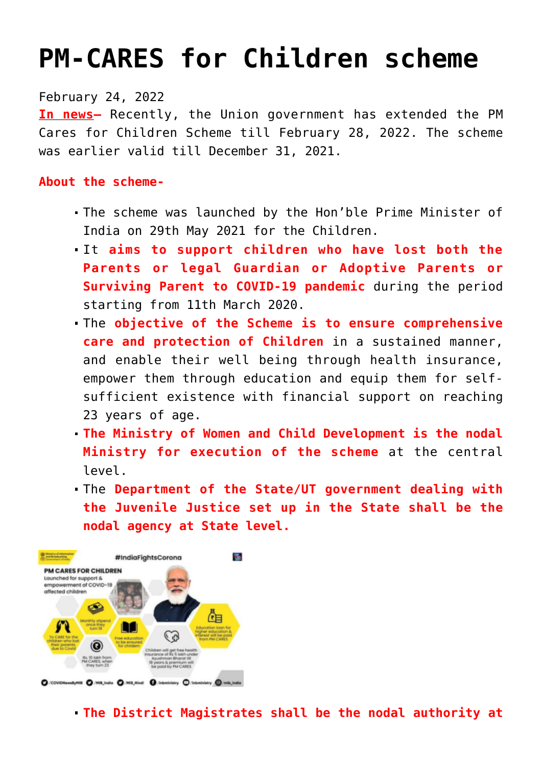## **[PM-CARES for Children scheme](https://journalsofindia.com/pm-cares-for-children-scheme/)**

February 24, 2022

**In news–** Recently, the Union government has extended the PM Cares for Children Scheme till February 28, 2022. The scheme was earlier valid till December 31, 2021.

## **About the scheme-**

- The scheme was launched by the Hon'ble Prime Minister of India on 29th May 2021 for the Children.
- It **aims to support children who have lost both the Parents or legal Guardian or Adoptive Parents or Surviving Parent to COVID-19 pandemic** during the period starting from 11th March 2020.
- The **objective of the Scheme is to ensure comprehensive care and protection of Children** in a sustained manner, and enable their well being through health insurance, empower them through education and equip them for selfsufficient existence with financial support on reaching 23 years of age.
- **The Ministry of Women and Child Development is the nodal Ministry for execution of the scheme** at the central level.
- The **Department of the State/UT government dealing with the Juvenile Justice set up in the State shall be the nodal agency at State level.**



**The District Magistrates shall be the nodal authority at**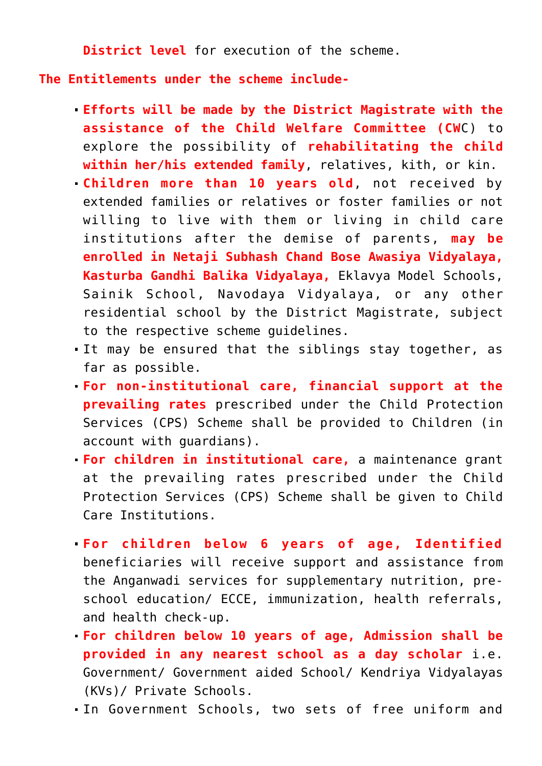**District level** for execution of the scheme.

**The Entitlements under the scheme include-**

- **Efforts will be made by the District Magistrate with the assistance of the Child Welfare Committee (CW**C) to explore the possibility of **rehabilitating the child within her/his extended family**, relatives, kith, or kin.
- **Children more than 10 years old**, not received by extended families or relatives or foster families or not willing to live with them or living in child care institutions after the demise of parents, **may be enrolled in Netaji Subhash Chand Bose Awasiya Vidyalaya, Kasturba Gandhi Balika Vidyalaya,** Eklavya Model Schools, Sainik School, Navodaya Vidyalaya, or any other residential school by the District Magistrate, subject to the respective scheme guidelines.
- It may be ensured that the siblings stay together, as far as possible.
- **For non-institutional care, financial support at the prevailing rates** prescribed under the Child Protection Services (CPS) Scheme shall be provided to Children (in account with guardians).
- **For children in institutional care,** a maintenance grant at the prevailing rates prescribed under the Child Protection Services (CPS) Scheme shall be given to Child Care Institutions.
- **For children below 6 years of age, Identified** beneficiaries will receive support and assistance from the Anganwadi services for supplementary nutrition, preschool education/ ECCE, immunization, health referrals, and health check-up.
- **For children below 10 years of age, Admission shall be provided in any nearest school as a day scholar** i.e. Government/ Government aided School/ Kendriya Vidyalayas (KVs)/ Private Schools.
- In Government Schools, two sets of free uniform and